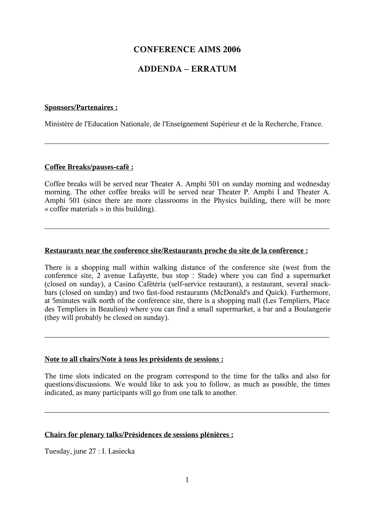# **CONFERENCE AIMS 2006**

# **ADDENDA – ERRATUM**

## **Sponsors/Partenaires :**

 $\overline{a}$ 

Ministère de l'Education Nationale, de l'Enseignement Supérieur et de la Recherche, France.

## **Coffee Breaks/pauses-café :**

Coffee breaks will be served near Theater A. Amphi 501 on sunday morning and wednesday morning. The other coffee breaks will be served near Theater P. Amphi I and Theater A. Amphi 501 (since there are more classrooms in the Physics building, there will be more « coffee materials » in this building).

## **Restaurants near the conference site/Restaurants proche du site de la conférence :**

There is a shopping mall within walking distance of the conference site (west from the conference site, 2 avenue Lafayette, bus stop : Stade) where you can find a supermarket (closed on sunday), a Casino Cafétéria (self-service restaurant), a restaurant, several snackbars (closed on sunday) and two fast-food restaurants (McDonald's and Quick). Furthermore, at 5minutes walk north of the conference site, there is a shopping mall (Les Templiers, Place des Templiers in Beaulieu) where you can find a small supermarket, a bar and a Boulangerie (they will probably be closed on sunday).

### **Note to all chairs/Note à tous les présidents de sessions :**

The time slots indicated on the program correspond to the time for the talks and also for questions/discussions. We would like to ask you to follow, as much as possible, the times indicated, as many participants will go from one talk to another.

## **Chairs for plenary talks/Présidences de sessions plénières :**

Tuesday, june 27 : I. Lasiecka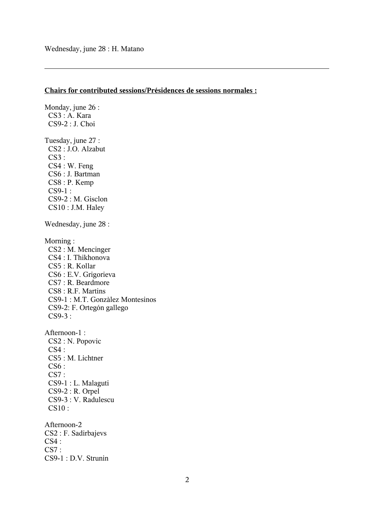$\overline{a}$ 

## **Chairs for contributed sessions/Présidences de sessions normales :**

Monday, june 26 : CS3 : A. Kara CS9-2 : J. Choi Tuesday, june 27 : CS2 : J.O. Alzabut  $CS3:$  CS4 : W. Feng CS6 : J. Bartman CS8 : P. Kemp CS9-1 : CS9-2 : M. Gisclon CS10 : J.M. Haley Wednesday, june 28 : Morning : CS2 : M. Mencinger CS4 : I. Thikhonova CS5 : R. Kollar CS6 : E.V. Grigorieva CS7 : R. Beardmore CS8 : R.F. Martins CS9-1 : M.T. Gonzàlez Montesinos CS9-2: F. Ortegón gallego CS9-3 : Afternoon-1 : CS2 : N. Popovic  $CS4:$  CS5 : M. Lichtner CS6 : CS7 : CS9-1 : L. Malaguti CS9-2 : R. Orpel CS9-3 : V. Radulescu CS10 : Afternoon-2 CS2 : F. Sadirbajevs CS4 :  $CS7:$ CS9-1 : D.V. Strunin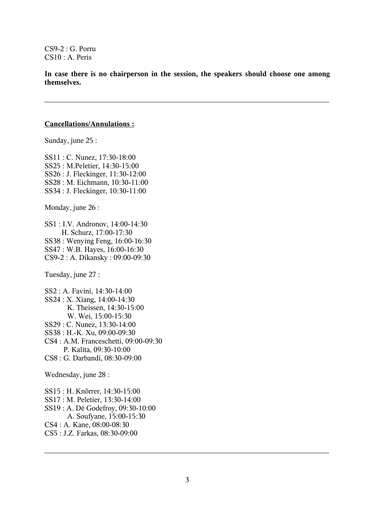CS9-2 : G. Porru CS10 : A. Peris

**In case there is no chairperson in the session, the speakers should choose one among themselves.**

#### **Cancellations/Annulations :**

Sunday, june 25 :

SS11 : C. Nunez, 17:30-18:00 SS25 : M.Peletier, 14:30-15:00 SS26 : J. Fleckinger, 11:30-12:00 SS28 : M. Eichmann, 10:30-11:00 SS34 : J. Fleckinger, 10:30-11:00

Monday, june 26 :

SS1 : I.V. Andronov, 14:00-14:30 H. Schurz, 17:00-17:30 SS38 : Wenying Feng, 16:00-16:30 SS47 : W.B. Hayes, 16:00-16:30 CS9-2 : A. Dikansky : 09:00-09:30

Tuesday, june 27 :

SS2 : A. Favini, 14:30-14:00 SS24 : X. Xiang, 14:00-14:30 K. Theissen, 14:30-15:00 W. Wei, 15:00-15:30 SS29 : C. Nunez, 13:30-14:00 SS38 : H.-K. Xu, 09:00-09:30 CS4 : A.M. Franceschetti, 09:00-09:30 P. Kalita, 09:30-10:00 CS8 : G. Darbandi, 08:30-09:00

Wednesday, june 28 :

SS15 : H. Knörrer, 14:30-15:00 SS17 : M. Peletier, 13:30-14:00 SS19 : A. Dé Godefroy, 09:30-10:00 A. Soufyane, 15:00-15:30 CS4 : A. Kane, 08:00-08:30 CS5 : J.Z. Farkas, 08:30-09:00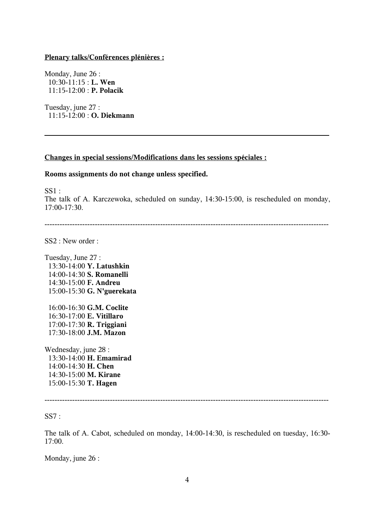### **Plenary talks/Conférences plénières :**

Monday, June 26 : 10:30-11:15 : **L. Wen** 11:15-12:00 : **P. Polacik**

Tuesday, june 27 : 11:15-12:00 : **O. Diekmann**

### **Changes in special sessions/Modifications dans les sessions spéciales :**

### **Rooms assignments do not change unless specified.**

 $SS1$ :

The talk of A. Karczewoka, scheduled on sunday, 14:30-15:00, is rescheduled on monday, 17:00-17:30.

-----------------------------------------------------------------------------------------------------------------

SS2 : New order :

Tuesday, June 27 : 13:30-14:00 **Y. Latushkin** 14:00-14:30 **S. Romanelli** 14:30-15:00 **F. Andreu** 15:00-15:30 **G. N'guerekata**

16:00-16:30 **G.M. Coclite** 16:30-17:00 **E. Vitillaro** 17:00-17:30 **R. Triggiani** 17:30-18:00 **J.M. Mazon**

Wednesday, june 28 : 13:30-14:00 **H. Emamirad** 14:00-14:30 **H. Chen** 14:30-15:00 **M. Kirane** 15:00-15:30 **T. Hagen**

-----------------------------------------------------------------------------------------------------------------

 $SS7:$ 

The talk of A. Cabot, scheduled on monday, 14:00-14:30, is rescheduled on tuesday, 16:30- 17:00.

Monday, june 26 :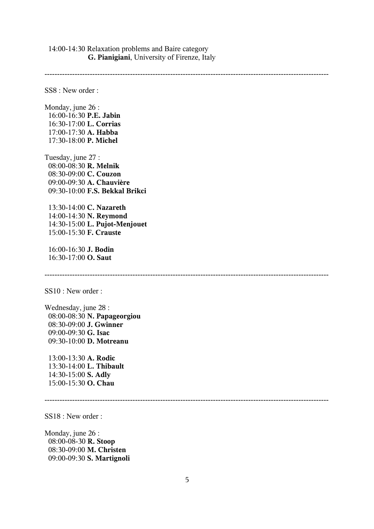14:00-14:30 Relaxation problems and Baire category **G. Pianigiani**, University of Firenze, Italy

-----------------------------------------------------------------------------------------------------------------

SS8 : New order :

Monday, june 26 : 16:00-16:30 **P.E. Jabin** 16:30-17:00 **L. Corrias** 17:00-17:30 **A. Habba** 17:30-18:00 **P. Michel**

Tuesday, june 27 : 08:00-08:30 **R. Melnik** 08:30-09:00 **C. Couzon** 09:00-09:30 **A. Chauvière** 09:30-10:00 **F.S. Bekkal Brikci**

13:30-14:00 **C. Nazareth** 14:00-14:30 **N. Reymond** 14:30-15:00 **L. Pujot-Menjouet** 15:00-15:30 **F. Crauste**

 16:00-16:30 **J. Bodin** 16:30-17:00 **O. Saut**

SS10 : New order :

Wednesday, june 28 : 08:00-08:30 **N. Papageorgiou** 08:30-09:00 **J. Gwinner** 09:00-09:30 **G. Isac** 09:30-10:00 **D. Motreanu**

13:00-13:30 **A. Rodic** 13:30-14:00 **L. Thibault** 14:30-15:00 **S. Adly** 15:00-15:30 **O. Chau**

-----------------------------------------------------------------------------------------------------------------

-----------------------------------------------------------------------------------------------------------------

SS18 : New order :

Monday, june 26 : 08:00-08-30 **R. Stoop** 08:30-09:00 **M. Christen** 09:00-09:30 **S. Martignoli**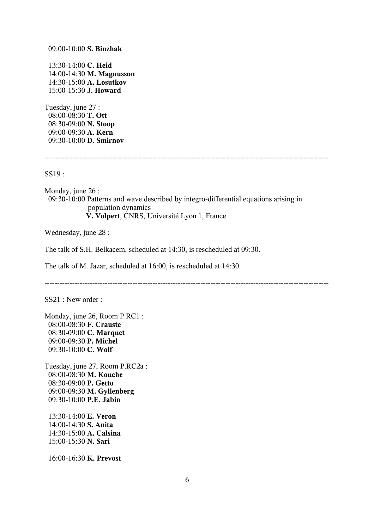09:00-10:00 **S. Binzhak**

13:30-14:00 **C. Heid** 14:00-14:30 **M. Magnusson** 14:30-15:00 **A. Losutkov** 15:00-15:30 **J. Howard**

Tuesday, june 27 : 08:00-08:30 **T. Ott** 08:30-09:00 **N. Stoop** 09:00-09:30 **A. Kern** 09:30-10:00 **D. Smirnov**

```
-----------------------------------------------------------------------------------------------------------------
```
SS19 :

Monday, june 26 : 09:30-10:00 Patterns and wave described by integro-differential equations arising in population dynamics  **V. Volpert**, CNRS, Université Lyon 1, France

Wednesday, june 28 :

The talk of S.H. Belkacem, scheduled at 14:30, is rescheduled at 09:30.

The talk of M. Jazar, scheduled at 16:00, is rescheduled at 14:30.

-----------------------------------------------------------------------------------------------------------------

SS21 : New order :

Monday, june 26, Room P.RC1 : 08:00-08:30 **F. Crauste** 08:30-09:00 **C. Marquet** 09:00-09:30 **P. Michel** 09:30-10:00 **C. Wolf**

Tuesday, june 27, Room P.RC2a : 08:00-08:30 **M. Kouche** 08:30-09:00 **P. Getto** 09:00-09:30 **M. Gyllenberg** 09:30-10:00 **P.E. Jabin**

13:30-14:00 **E. Veron** 14:00-14:30 **S. Anita** 14:30-15:00 **A. Calsina** 15:00-15:30 **N. Sari**

16:00-16:30 **K. Prevost**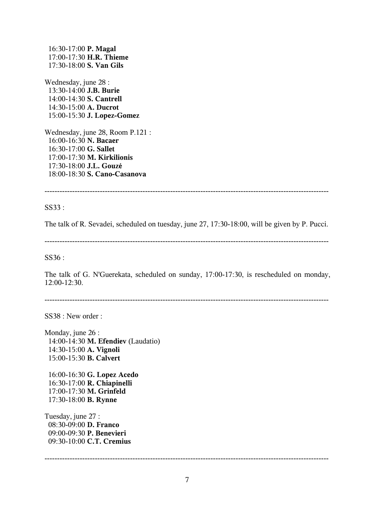16:30-17:00 **P. Magal** 17:00-17:30 **H.R. Thieme** 17:30-18:00 **S. Van Gils**

Wednesday, june 28 : 13:30-14:00 **J.B. Burie** 14:00-14:30 **S. Cantrell** 14:30-15:00 **A. Ducrot** 15:00-15:30 **J. Lopez-Gomez**

Wednesday, june 28, Room P.121 : 16:00-16:30 **N. Bacaer** 16:30-17:00 **G. Sallet** 17:00-17:30 **M. Kirkilionis** 17:30-18:00 **J.L. Gouzé** 18:00-18:30 **S. Cano-Casanova**

-----------------------------------------------------------------------------------------------------------------

### SS33 :

The talk of R. Sevadei, scheduled on tuesday, june 27, 17:30-18:00, will be given by P. Pucci.

-----------------------------------------------------------------------------------------------------------------

SS36 :

The talk of G. N'Guerekata, scheduled on sunday, 17:00-17:30, is rescheduled on monday, 12:00-12:30.

-----------------------------------------------------------------------------------------------------------------

SS38 : New order :

Monday, june 26 : 14:00-14:30 **M. Efendiev** (Laudatio) 14:30-15:00 **A. Vignoli** 15:00-15:30 **B. Calvert**

16:00-16:30 **G. Lopez Acedo** 16:30-17:00 **R. Chiapinelli** 17:00-17:30 **M. Grinfeld** 17:30-18:00 **B. Rynne**

Tuesday, june 27 : 08:30-09:00 **D. Franco** 09:00-09:30 **P. Benevieri** 09:30-10:00 **C.T. Cremius**

-----------------------------------------------------------------------------------------------------------------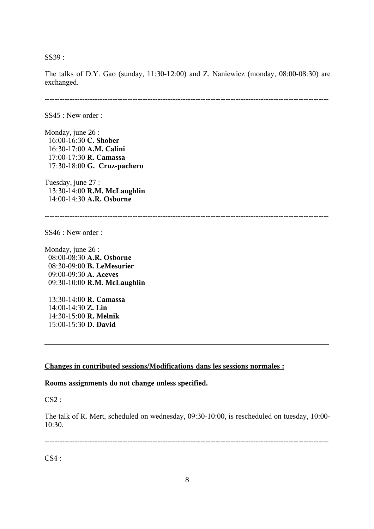SS39 :

The talks of D.Y. Gao (sunday, 11:30-12:00) and Z. Naniewicz (monday, 08:00-08:30) are exchanged.

-----------------------------------------------------------------------------------------------------------------

SS45 : New order :

Monday, june 26 : 16:00-16:30 **C. Shober** 16:30-17:00 **A.M. Calini** 17:00-17:30 **R. Camassa** 17:30-18:00 **G. Cruz-pachero**

Tuesday, june 27 : 13:30-14:00 **R.M. McLaughlin** 14:00-14:30 **A.R. Osborne**

-----------------------------------------------------------------------------------------------------------------

SS46 : New order :

Monday, june 26 : 08:00-08:30 **A.R. Osborne** 08:30-09:00 **B. LeMesurier** 09:00-09:30 **A. Aceves** 09:30-10:00 **R.M. McLaughlin**

13:30-14:00 **R. Camassa** 14:00-14:30 **Z. Lin** 14:30-15:00 **R. Melnik** 15:00-15:30 **D. David**

#### **Changes in contributed sessions/Modifications dans les sessions normales :**

**Rooms assignments do not change unless specified.**

CS2 :

The talk of R. Mert, scheduled on wednesday, 09:30-10:00, is rescheduled on tuesday, 10:00- 10:30.

-----------------------------------------------------------------------------------------------------------------

 $CS4:$